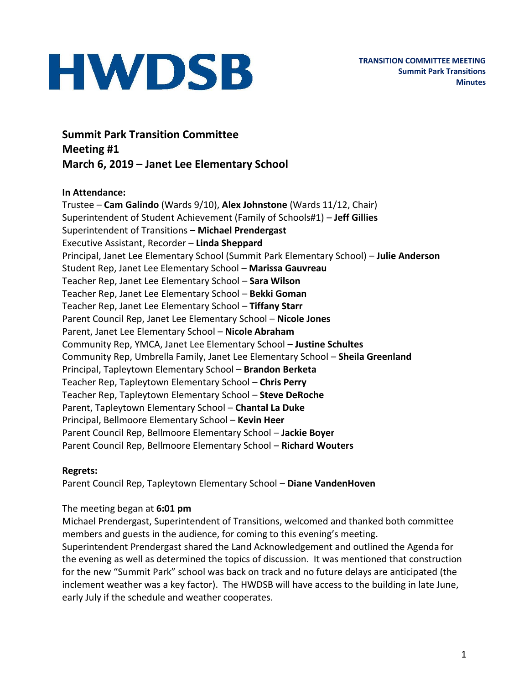**Summit Park Transition Committee Meeting #1 March 6, 2019 – Janet Lee Elementary School**

#### **In Attendance:**

Trustee – **Cam Galindo** (Wards 9/10), **Alex Johnstone** (Wards 11/12, Chair) Superintendent of Student Achievement (Family of Schools#1) – **Jeff Gillies** Superintendent of Transitions – **Michael Prendergast** Executive Assistant, Recorder – **Linda Sheppard** Principal, Janet Lee Elementary School (Summit Park Elementary School) – **Julie Anderson** Student Rep, Janet Lee Elementary School – **Marissa Gauvreau** Teacher Rep, Janet Lee Elementary School – **Sara Wilson** Teacher Rep, Janet Lee Elementary School – **Bekki Goman** Teacher Rep, Janet Lee Elementary School – **Tiffany Starr** Parent Council Rep, Janet Lee Elementary School – **Nicole Jones** Parent, Janet Lee Elementary School – **Nicole Abraham** Community Rep, YMCA, Janet Lee Elementary School – **Justine Schultes** Community Rep, Umbrella Family, Janet Lee Elementary School – **Sheila Greenland** Principal, Tapleytown Elementary School – **Brandon Berketa** Teacher Rep, Tapleytown Elementary School – **Chris Perry** Teacher Rep, Tapleytown Elementary School – **Steve DeRoche** Parent, Tapleytown Elementary School – **Chantal La Duke** Principal, Bellmoore Elementary School – **Kevin Heer** Parent Council Rep, Bellmoore Elementary School – **Jackie Boyer** Parent Council Rep, Bellmoore Elementary School – **Richard Wouters**

#### **Regrets:**

Parent Council Rep, Tapleytown Elementary School – **Diane VandenHoven**

#### The meeting began at **6:01 pm**

Michael Prendergast, Superintendent of Transitions, welcomed and thanked both committee members and guests in the audience, for coming to this evening's meeting. Superintendent Prendergast shared the Land Acknowledgement and outlined the Agenda for

the evening as well as determined the topics of discussion. It was mentioned that construction for the new "Summit Park" school was back on track and no future delays are anticipated (the inclement weather was a key factor). The HWDSB will have access to the building in late June, early July if the schedule and weather cooperates.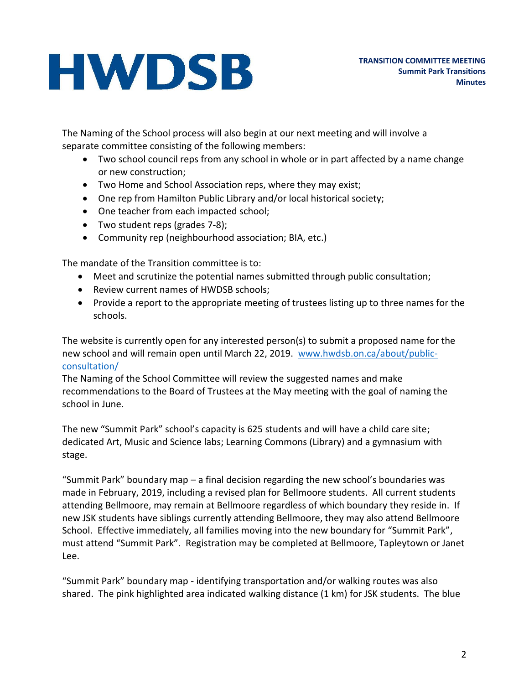The Naming of the School process will also begin at our next meeting and will involve a separate committee consisting of the following members:

- Two school council reps from any school in whole or in part affected by a name change or new construction;
- Two Home and School Association reps, where they may exist;
- One rep from Hamilton Public Library and/or local historical society;
- One teacher from each impacted school;
- Two student reps (grades 7-8);
- Community rep (neighbourhood association; BIA, etc.)

The mandate of the Transition committee is to:

- Meet and scrutinize the potential names submitted through public consultation;
- Review current names of HWDSB schools;
- Provide a report to the appropriate meeting of trustees listing up to three names for the schools.

The website is currently open for any interested person(s) to submit a proposed name for the new school and will remain open until March 22, 2019. [www.hwdsb.on.ca/about/public](http://www.hwdsb.on.ca/about/public-consultation/)[consultation/](http://www.hwdsb.on.ca/about/public-consultation/)

The Naming of the School Committee will review the suggested names and make recommendations to the Board of Trustees at the May meeting with the goal of naming the school in June.

The new "Summit Park" school's capacity is 625 students and will have a child care site; dedicated Art, Music and Science labs; Learning Commons (Library) and a gymnasium with stage.

"Summit Park" boundary map – a final decision regarding the new school's boundaries was made in February, 2019, including a revised plan for Bellmoore students. All current students attending Bellmoore, may remain at Bellmoore regardless of which boundary they reside in. If new JSK students have siblings currently attending Bellmoore, they may also attend Bellmoore School. Effective immediately, all families moving into the new boundary for "Summit Park", must attend "Summit Park". Registration may be completed at Bellmoore, Tapleytown or Janet Lee.

"Summit Park" boundary map - identifying transportation and/or walking routes was also shared. The pink highlighted area indicated walking distance (1 km) for JSK students. The blue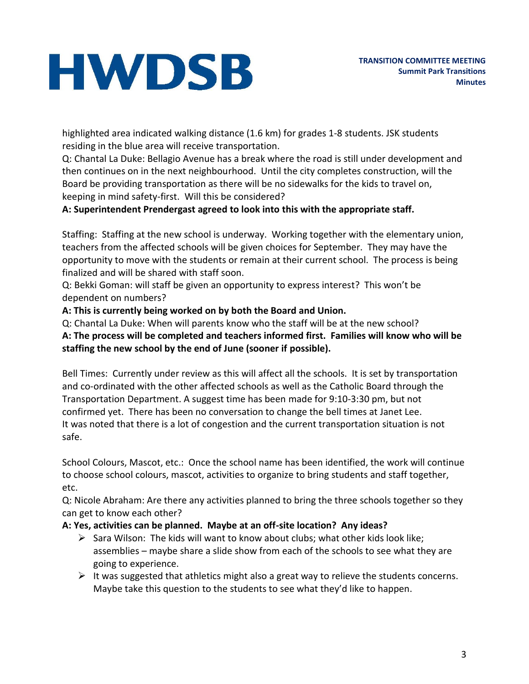highlighted area indicated walking distance (1.6 km) for grades 1-8 students. JSK students residing in the blue area will receive transportation.

Q: Chantal La Duke: Bellagio Avenue has a break where the road is still under development and then continues on in the next neighbourhood. Until the city completes construction, will the Board be providing transportation as there will be no sidewalks for the kids to travel on, keeping in mind safety-first. Will this be considered?

## **A: Superintendent Prendergast agreed to look into this with the appropriate staff.**

Staffing: Staffing at the new school is underway. Working together with the elementary union, teachers from the affected schools will be given choices for September. They may have the opportunity to move with the students or remain at their current school. The process is being finalized and will be shared with staff soon.

Q: Bekki Goman: will staff be given an opportunity to express interest? This won't be dependent on numbers?

**A: This is currently being worked on by both the Board and Union.**

Q: Chantal La Duke: When will parents know who the staff will be at the new school? **A: The process will be completed and teachers informed first. Families will know who will be staffing the new school by the end of June (sooner if possible).**

Bell Times: Currently under review as this will affect all the schools. It is set by transportation and co-ordinated with the other affected schools as well as the Catholic Board through the Transportation Department. A suggest time has been made for 9:10-3:30 pm, but not confirmed yet. There has been no conversation to change the bell times at Janet Lee. It was noted that there is a lot of congestion and the current transportation situation is not safe.

School Colours, Mascot, etc.: Once the school name has been identified, the work will continue to choose school colours, mascot, activities to organize to bring students and staff together, etc.

Q: Nicole Abraham: Are there any activities planned to bring the three schools together so they can get to know each other?

### **A: Yes, activities can be planned. Maybe at an off-site location? Any ideas?**

- $\triangleright$  Sara Wilson: The kids will want to know about clubs; what other kids look like; assemblies – maybe share a slide show from each of the schools to see what they are going to experience.
- $\triangleright$  It was suggested that athletics might also a great way to relieve the students concerns. Maybe take this question to the students to see what they'd like to happen.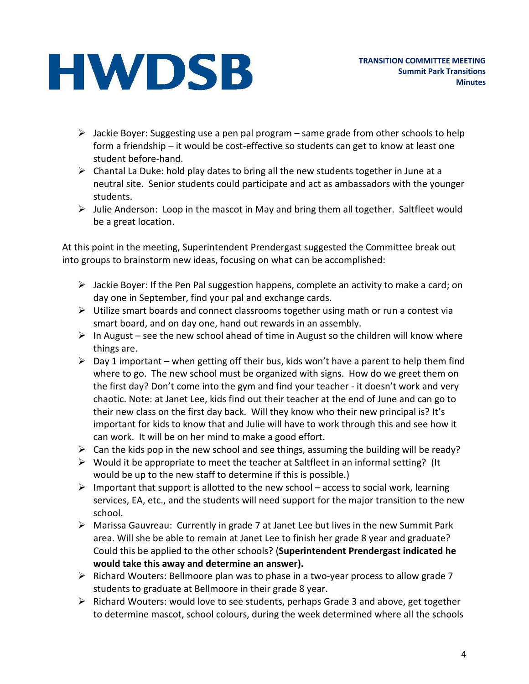- $\triangleright$  Jackie Boyer: Suggesting use a pen pal program same grade from other schools to help form a friendship – it would be cost-effective so students can get to know at least one student before-hand.
- $\triangleright$  Chantal La Duke: hold play dates to bring all the new students together in June at a neutral site. Senior students could participate and act as ambassadors with the younger students.
- $\triangleright$  Julie Anderson: Loop in the mascot in May and bring them all together. Saltfleet would be a great location.

At this point in the meeting, Superintendent Prendergast suggested the Committee break out into groups to brainstorm new ideas, focusing on what can be accomplished:

- $\triangleright$  Jackie Boyer: If the Pen Pal suggestion happens, complete an activity to make a card; on day one in September, find your pal and exchange cards.
- $\triangleright$  Utilize smart boards and connect classrooms together using math or run a contest via smart board, and on day one, hand out rewards in an assembly.
- $\triangleright$  In August see the new school ahead of time in August so the children will know where things are.
- $\triangleright$  Day 1 important when getting off their bus, kids won't have a parent to help them find where to go. The new school must be organized with signs. How do we greet them on the first day? Don't come into the gym and find your teacher - it doesn't work and very chaotic. Note: at Janet Lee, kids find out their teacher at the end of June and can go to their new class on the first day back. Will they know who their new principal is? It's important for kids to know that and Julie will have to work through this and see how it can work. It will be on her mind to make a good effort.
- $\triangleright$  Can the kids pop in the new school and see things, assuming the building will be ready?
- $\triangleright$  Would it be appropriate to meet the teacher at Saltfleet in an informal setting? (It would be up to the new staff to determine if this is possible.)
- $\triangleright$  Important that support is allotted to the new school access to social work, learning services, EA, etc., and the students will need support for the major transition to the new school.
- $\triangleright$  Marissa Gauvreau: Currently in grade 7 at Janet Lee but lives in the new Summit Park area. Will she be able to remain at Janet Lee to finish her grade 8 year and graduate? Could this be applied to the other schools? (**Superintendent Prendergast indicated he would take this away and determine an answer).**
- $\triangleright$  Richard Wouters: Bellmoore plan was to phase in a two-year process to allow grade 7 students to graduate at Bellmoore in their grade 8 year.
- $\triangleright$  Richard Wouters: would love to see students, perhaps Grade 3 and above, get together to determine mascot, school colours, during the week determined where all the schools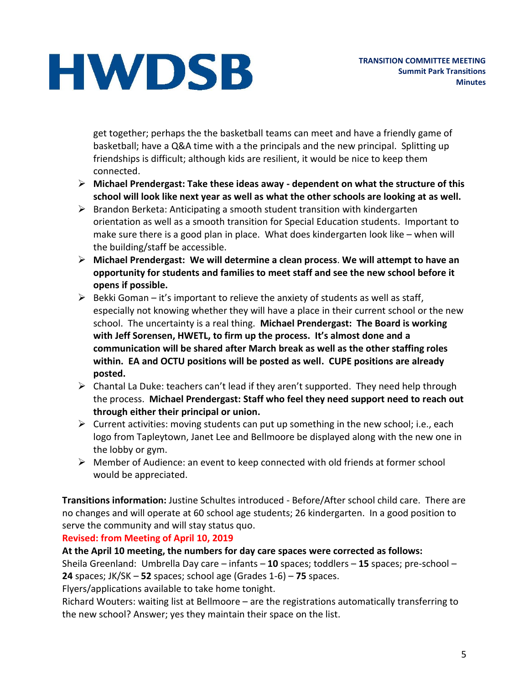get together; perhaps the the basketball teams can meet and have a friendly game of basketball; have a Q&A time with a the principals and the new principal. Splitting up friendships is difficult; although kids are resilient, it would be nice to keep them connected.

- **Michael Prendergast: Take these ideas away - dependent on what the structure of this school will look like next year as well as what the other schools are looking at as well.**
- $\triangleright$  Brandon Berketa: Anticipating a smooth student transition with kindergarten orientation as well as a smooth transition for Special Education students. Important to make sure there is a good plan in place. What does kindergarten look like – when will the building/staff be accessible.
- **Michael Prendergast: We will determine a clean process**. **We will attempt to have an opportunity for students and families to meet staff and see the new school before it opens if possible.**
- $\triangleright$  Bekki Goman it's important to relieve the anxiety of students as well as staff, especially not knowing whether they will have a place in their current school or the new school. The uncertainty is a real thing. **Michael Prendergast: The Board is working with Jeff Sorensen, HWETL, to firm up the process. It's almost done and a communication will be shared after March break as well as the other staffing roles within. EA and OCTU positions will be posted as well. CUPE positions are already posted.**
- $\triangleright$  Chantal La Duke: teachers can't lead if they aren't supported. They need help through the process. **Michael Prendergast: Staff who feel they need support need to reach out through either their principal or union.**
- $\triangleright$  Current activities: moving students can put up something in the new school; i.e., each logo from Tapleytown, Janet Lee and Bellmoore be displayed along with the new one in the lobby or gym.
- $\triangleright$  Member of Audience: an event to keep connected with old friends at former school would be appreciated.

**Transitions information:** Justine Schultes introduced - Before/After school child care. There are no changes and will operate at 60 school age students; 26 kindergarten. In a good position to serve the community and will stay status quo.

### **Revised: from Meeting of April 10, 2019**

### **At the April 10 meeting, the numbers for day care spaces were corrected as follows:**

Sheila Greenland: Umbrella Day care – infants – **10** spaces; toddlers – **15** spaces; pre-school – **24** spaces; JK/SK – **52** spaces; school age (Grades 1-6) – **75** spaces.

Flyers/applications available to take home tonight.

Richard Wouters: waiting list at Bellmoore – are the registrations automatically transferring to the new school? Answer; yes they maintain their space on the list.